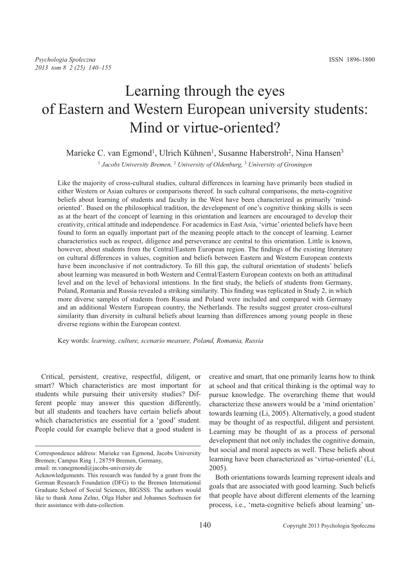# Learning through the eyes of Eastern and Western European university students: Mind or virtue-oriented?

# Marieke C. van Egmond<sup>1</sup>, Ulrich Kühnen<sup>1</sup>, Susanne Haberstroh<sup>2</sup>, Nina Hansen<sup>3</sup>

1 *Jacobs University Bremen,* <sup>2</sup> *University of Oldenburg,* <sup>3</sup> *University of Groningen*

Like the majority of cross-cultural studies, cultural differences in learning have primarily been studied in either Western or Asian cultures or comparisons thereof. In such cultural comparisons, the meta-cognitive beliefs about learning of students and faculty in the West have been characterized as primarily 'mindoriented'. Based on the philosophical tradition, the development of one's cognitive thinking skills is seen as at the heart of the concept of learning in this orientation and learners are encouraged to develop their creativity, critical attitude and independence. For academics in East Asia, 'virtue' oriented beliefs have been found to form an equally important part of the meaning people attach to the concept of learning. Learner characteristics such as respect, diligence and perseverance are central to this orientation. Little is known, however, about students from the Central/Eastern European region. The findings of the existing literature on cultural differences in values, cognition and beliefs between Eastern and Western European contexts have been inconclusive if not contradictory. To fill this gap, the cultural orientation of students' beliefs about learning was measured in both Western and Central/Eastern European contexts on both an attitudinal level and on the level of behavioral intentions. In the first study, the beliefs of students from Germany, Poland, Romania and Russia revealed a striking similarity. This finding was replicated in Study 2, in which more diverse samples of students from Russia and Poland were included and compared with Germany and an additional Western European country, the Netherlands. The results suggest greater cross-cultural similarity than diversity in cultural beliefs about learning than differences among young people in these diverse regions within the European context.

Key words: *learning, culture, scenario measure, Poland, Romania, Russia*

Critical, persistent, creative, respectful, diligent, or smart? Which characteristics are most important for students while pursuing their university studies? Different people may answer this question differently, but all students and teachers have certain beliefs about which characteristics are essential for a 'good' student. People could for example believe that a good student is

creative and smart, that one primarily learns how to think at school and that critical thinking is the optimal way to pursue knowledge. The overarching theme that would characterize these answers would be a 'mind orientation' towards learning (Li, 2005). Alternatively, a good student may be thought of as respectful, diligent and persistent. Learning may be thought of as a process of personal development that not only includes the cognitive domain, but social and moral aspects as well. These beliefs about learning have been characterized as 'virtue-oriented' (Li, 2005).

Both orientations towards learning represent ideals and goals that are associated with good learning. Such beliefs that people have about different elements of the learning process, i.e., 'meta-cognitive beliefs about learning' un-

Correspondence address: Marieke van Egmond, Jacobs University Bremen; Campus Ring 1, 28759 Bremen, Germany,

email: m.vanegmond@jacobs-university.de

Acknowledgements. This research was funded by a grant from the German Research Foundation (DFG) to the Bremen International Graduate School of Social Sciences, BIGSSS. The authors would like to thank Anna Zelno, Olga Haber and Johannes Seehusen for their assistance with data-collection.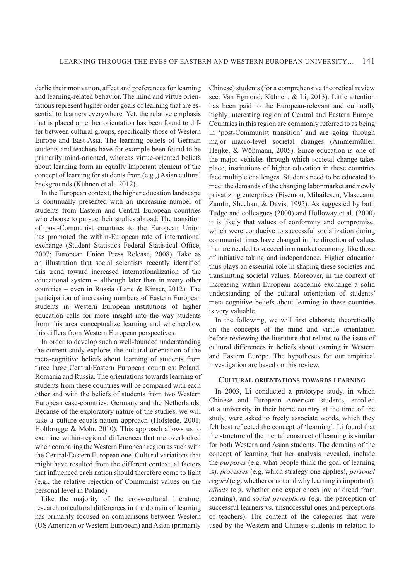derlie their motivation, affect and preferences for learning and learning-related behavior. The mind and virtue orientations represent higher order goals of learning that are essential to learners everywhere. Yet, the relative emphasis that is placed on either orientation has been found to differ between cultural groups, specifically those of Western Europe and East-Asia. The learning beliefs of German students and teachers have for example been found to be primarily mind-oriented, whereas virtue-oriented beliefs about learning form an equally important element of the concept of learning for students from (e.g.,) Asian cultural backgrounds (Kühnen et al., 2012).

In the European context, the higher education landscape is continually presented with an increasing number of students from Eastern and Central European countries who choose to pursue their studies abroad. The transition of post-Communist countries to the European Union has promoted the within-European rate of international exchange (Student Statistics Federal Statistical Office, 2007; European Union Press Release, 2008). Take as an illustration that social scientists recently identified this trend toward increased internationalization of the educational system – although later than in many other countries – even in Russia (Lane & Kinser, 2012). The participation of increasing numbers of Eastern European students in Western European institutions of higher education calls for more insight into the way students from this area conceptualize learning and whether/how this differs from Western European perspectives.

In order to develop such a well-founded understanding the current study explores the cultural orientation of the meta-cognitive beliefs about learning of students from three large Central/Eastern European countries: Poland, Romania and Russia. The orientations towards learning of students from these countries will be compared with each other and with the beliefs of students from two Western European case-countries: Germany and the Netherlands. Because of the exploratory nature of the studies, we will take a culture-equals-nation approach (Hofstede, 2001; Holtbrugge & Mohr, 2010). This approach allows us to examine within-regional differences that are overlooked when comparing the Western European region as such with the Central/Eastern European one. Cultural variations that might have resulted from the different contextual factors that influenced each nation should therefore come to light (e.g., the relative rejection of Communist values on the personal level in Poland).

Like the majority of the cross-cultural literature, research on cultural differences in the domain of learning has primarily focused on comparisons between Western (US American or Western European) and Asian (primarily Chinese) students (for a comprehensive theoretical review see: Van Egmond, Kühnen, & Li, 2013). Little attention has been paid to the European-relevant and culturally highly interesting region of Central and Eastern Europe. Countries in this region are commonly referred to as being in 'post-Communist transition' and are going through major macro-level societal changes (Ammermüller, Heijke, & Wößmann, 2005). Since education is one of the major vehicles through which societal change takes place, institutions of higher education in these countries face multiple challenges. Students need to be educated to meet the demands of the changing labor market and newly privatizing enterprises (Eisemon, Mihailescu, Vlasceanu, Zamfir, Sheehan, & Davis, 1995). As suggested by both Tudge and colleagues (2000) and Holloway et al. (2000) it is likely that values of conformity and compromise, which were conducive to successful socialization during communist times have changed in the direction of values that are needed to succeed in a market economy, like those of initiative taking and independence. Higher education thus plays an essential role in shaping these societies and transmitting societal values. Moreover, in the context of increasing within-European academic exchange a solid understanding of the cultural orientation of students' meta-cognitive beliefs about learning in these countries is very valuable.

In the following, we will first elaborate theoretically on the concepts of the mind and virtue orientation before reviewing the literature that relates to the issue of cultural differences in beliefs about learning in Western and Eastern Europe. The hypotheses for our empirical investigation are based on this review.

# **CULTURAL ORIENTATIONS TOWARDS LEARNING**

In 2003, Li conducted a prototype study, in which Chinese and European American students, enrolled at a university in their home country at the time of the study, were asked to freely associate words, which they felt best reflected the concept of 'learning'. Li found that the structure of the mental construct of learning is similar for both Western and Asian students. The domains of the concept of learning that her analysis revealed, include the *purposes* (e.g. what people think the goal of learning is), *processes* (e.g. which strategy one applies), *personal regard* (e.g. whether or not and why learning is important), *affects* (e.g. whether one experiences joy or dread from learning), and *social perceptions* (e.g. the perception of successful learners vs. unsuccessful ones and perceptions of teachers). The content of the categories that were used by the Western and Chinese students in relation to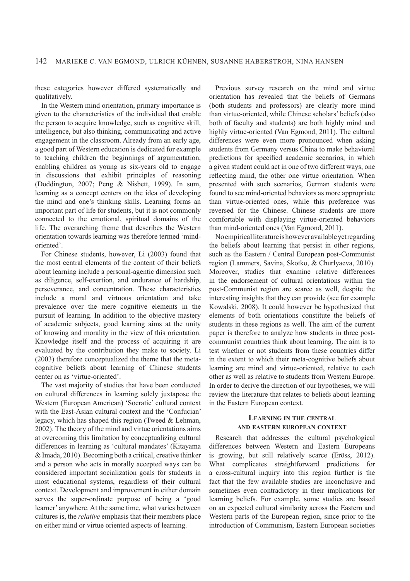these categories however differed systematically and qualitatively.

In the Western mind orientation, primary importance is given to the characteristics of the individual that enable the person to acquire knowledge, such as cognitive skill, intelligence, but also thinking, communicating and active engagement in the classroom. Already from an early age, a good part of Western education is dedicated for example to teaching children the beginnings of argumentation, enabling children as young as six-years old to engage in discussions that exhibit principles of reasoning (Doddington, 2007; Peng & Nisbett, 1999). In sum, learning as a concept centers on the idea of developing the mind and one's thinking skills. Learning forms an important part of life for students, but it is not commonly connected to the emotional, spiritual domains of the life. The overarching theme that describes the Western orientation towards learning was therefore termed 'mindoriented'.

For Chinese students, however, Li (2003) found that the most central elements of the content of their beliefs about learning include a personal-agentic dimension such as diligence, self-exertion, and endurance of hardship, perseverance, and concentration. These characteristics include a moral and virtuous orientation and take prevalence over the mere cognitive elements in the pursuit of learning. In addition to the objective mastery of academic subjects, good learning aims at the unity of knowing and morality in the view of this orientation. Knowledge itself and the process of acquiring it are evaluated by the contribution they make to society. Li (2003) therefore conceptualized the theme that the metacognitive beliefs about learning of Chinese students center on as 'virtue-oriented'.

The vast majority of studies that have been conducted on cultural differences in learning solely juxtapose the Western (European American) 'Socratic' cultural context with the East-Asian cultural context and the 'Confucian' legacy, which has shaped this region (Tweed & Lehman, 2002). The theory of the mind and virtue orientations aims at overcoming this limitation by conceptualizing cultural differences in learning as 'cultural mandates' (Kitayama & Imada, 2010). Becoming both a critical, creative thinker and a person who acts in morally accepted ways can be considered important socialization goals for students in most educational systems, regardless of their cultural context. Development and improvement in either domain serves the super-ordinate purpose of being a 'good learner' anywhere. At the same time, what varies between cultures is, the *relative* emphasis that their members place on either mind or virtue oriented aspects of learning.

Previous survey research on the mind and virtue orientation has revealed that the beliefs of Germans (both students and professors) are clearly more mind than virtue-oriented, while Chinese scholars' beliefs (also both of faculty and students) are both highly mind and highly virtue-oriented (Van Egmond, 2011). The cultural differences were even more pronounced when asking students from Germany versus China to make behavioral predictions for specified academic scenarios, in which a given student could act in one of two different ways, one reflecting mind, the other one virtue orientation. When presented with such scenarios, German students were found to see mind-oriented behaviors as more appropriate than virtue-oriented ones, while this preference was reversed for the Chinese. Chinese students are more comfortable with displaying virtue-oriented behaviors than mind-oriented ones (Van Egmond, 2011).

No empirical literature is however available yet regarding the beliefs about learning that persist in other regions, such as the Eastern / Central European post-Communist region (Lammers, Savina, Skotko, & Churlyaeva, 2010). Moreover, studies that examine relative differences in the endorsement of cultural orientations within the post-Communist region are scarce as well, despite the interesting insights that they can provide (see for example Kowalski, 2008). It could however be hypothesized that elements of both orientations constitute the beliefs of students in these regions as well. The aim of the current paper is therefore to analyze how students in three postcommunist countries think about learning. The aim is to test whether or not students from these countries differ in the extent to which their meta-cognitive beliefs about learning are mind and virtue-oriented, relative to each other as well as relative to students from Western Europe. In order to derive the direction of our hypotheses, we will review the literature that relates to beliefs about learning in the Eastern European context.

# **LEARNING IN THE CENTRAL AND EASTERN EUROPEAN CONTEXT**

Research that addresses the cultural psychological differences between Western and Eastern Europeans is growing, but still relatively scarce (Eröss, 2012). What complicates straightforward predictions for a cross-cultural inquiry into this region further is the fact that the few available studies are inconclusive and sometimes even contradictory in their implications for learning beliefs. For example, some studies are based on an expected cultural similarity across the Eastern and Western parts of the European region, since prior to the introduction of Communism, Eastern European societies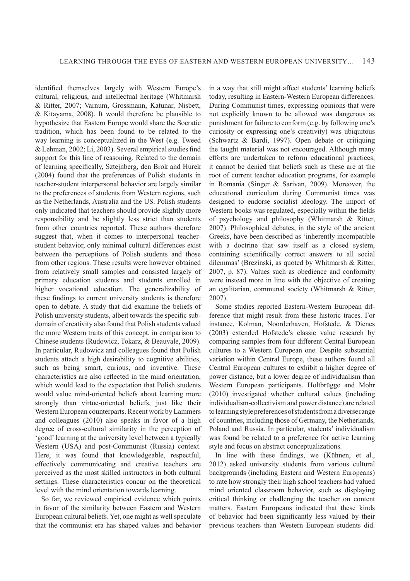identified themselves largely with Western Europe's cultural, religious, and intellectual heritage (Whitmarsh & Ritter, 2007; Varnum, Grossmann, Katunar, Nisbett, & Kitayama, 2008). It would therefore be plausible to hypothesize that Eastern Europe would share the Socratic tradition, which has been found to be related to the way learning is conceptualized in the West (e.g. Tweed  $&$  Lehman, 2002; Li, 2003). Several empirical studies find support for this line of reasoning. Related to the domain of learning specifically, Sztejnberg, den Brok and Hurek (2004) found that the preferences of Polish students in teacher-student interpersonal behavior are largely similar to the preferences of students from Western regions, such as the Netherlands, Australia and the US. Polish students only indicated that teachers should provide slightly more responsibility and be slightly less strict than students from other countries reported. These authors therefore suggest that, when it comes to interpersonal teacherstudent behavior, only minimal cultural differences exist between the perceptions of Polish students and those from other regions. These results were however obtained from relatively small samples and consisted largely of primary education students and students enrolled in higher vocational education. The generalizability of these findings to current university students is therefore open to debate. A study that did examine the beliefs of Polish university students, albeit towards the specific subdomain of creativity also found that Polish students valued the more Western traits of this concept, in comparison to Chinese students (Rudowicz, Tokarz, & Beauvale, 2009). In particular, Rudowicz and colleagues found that Polish students attach a high desirability to cognitive abilities, such as being smart, curious, and inventive. These characteristics are also reflected in the mind orientation, which would lead to the expectation that Polish students would value mind-oriented beliefs about learning more strongly than virtue-oriented beliefs, just like their Western European counterparts. Recent work by Lammers and colleagues (2010) also speaks in favor of a high degree of cross-cultural similarity in the perception of 'good' learning at the university level between a typically Western (USA) and post-Communist (Russia) context. Here, it was found that knowledgeable, respectful, effectively communicating and creative teachers are perceived as the most skilled instructors in both cultural settings. These characteristics concur on the theoretical level with the mind orientation towards learning.

So far, we reviewed empirical evidence which points in favor of the similarity between Eastern and Western European cultural beliefs. Yet, one might as well speculate that the communist era has shaped values and behavior

in a way that still might affect students' learning beliefs today, resulting in Eastern-Western European differences. During Communist times, expressing opinions that were not explicitly known to be allowed was dangerous as punishment for failure to conform (e.g. by following one's curiosity or expressing one's creativity) was ubiquitous (Schwartz & Bardi, 1997). Open debate or critiquing the taught material was not encouraged. Although many efforts are undertaken to reform educational practices, it cannot be denied that beliefs such as these are at the root of current teacher education programs, for example in Romania (Singer & Sarivan, 2009). Moreover, the educational curriculum during Communist times was designed to endorse socialist ideology. The import of Western books was regulated, especially within the fields of psychology and philosophy (Whitmarsh & Ritter, 2007). Philosophical debates, in the style of the ancient Greeks, have been described as 'inherently incompatible with a doctrine that saw itself as a closed system, containing scientifically correct answers to all social dilemmas' (Brezinski, as quoted by Whitmarsh & Ritter, 2007, p. 87). Values such as obedience and conformity were instead more in line with the objective of creating an egalitarian, communal society (Whitmarsh & Ritter, 2007).

Some studies reported Eastern-Western European difference that might result from these historic traces. For instance, Kolman, Noorderhaven, Hofstede, & Dienes (2003) extended Hofstede's classic value research by comparing samples from four different Central European cultures to a Western European one. Despite substantial variation within Central Europe, these authors found all Central European cultures to exhibit a higher degree of power distance, but a lower degree of individualism than Western European participants. Holtbrügge and Mohr (2010) investigated whether cultural values (including individualism-collectivism and power distance) are related to learning style preferences of students from a diverse range of countries, including those of Germany, the Netherlands, Poland and Russia. In particular, students' individualism was found be related to a preference for active learning style and focus on abstract conceptualizations.

In line with these findings, we (Kühnen, et al., 2012) asked university students from various cultural backgrounds (including Eastern and Western Europeans) to rate how strongly their high school teachers had valued mind oriented classroom behavior, such as displaying critical thinking or challenging the teacher on content matters. Eastern Europeans indicated that these kinds of behavior had been significantly less valued by their previous teachers than Western European students did.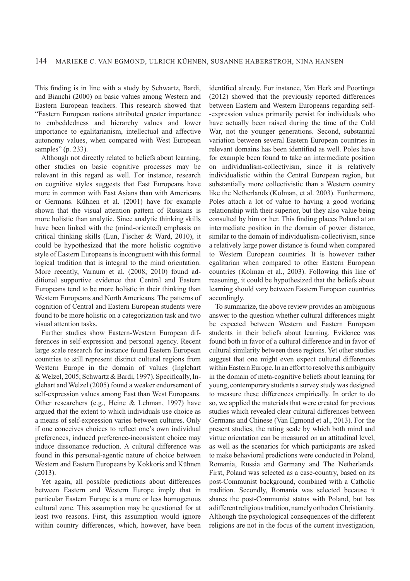This finding is in line with a study by Schwartz, Bardi, and Bianchi (2000) on basic values among Western and Eastern European teachers. This research showed that "Eastern European nations attributed greater importance to embeddedness and hierarchy values and lower importance to egalitarianism, intellectual and affective autonomy values, when compared with West European samples" (p. 233).

Although not directly related to beliefs about learning, other studies on basic cognitive processes may be relevant in this regard as well. For instance, research on cognitive styles suggests that East Europeans have more in common with East Asians than with Americans or Germans. Kühnen et al. (2001) have for example shown that the visual attention pattern of Russians is more holistic than analytic. Since analytic thinking skills have been linked with the (mind-oriented) emphasis on critical thinking skills (Lun, Fischer & Ward, 2010), it could be hypothesized that the more holistic cognitive style of Eastern Europeans is incongruent with this formal logical tradition that is integral to the mind orientation. More recently, Varnum et al. (2008; 2010) found additional supportive evidence that Central and Eastern Europeans tend to be more holistic in their thinking than Western Europeans and North Americans. The patterns of cognition of Central and Eastern European students were found to be more holistic on a categorization task and two visual attention tasks.

Further studies show Eastern-Western European differences in self-expression and personal agency. Recent large scale research for instance found Eastern European countries to still represent distinct cultural regions from Western Europe in the domain of values (Inglehart & Welzel, 2005; Schwartz & Bardi, 1997). Specifically, Inglehart and Welzel (2005) found a weaker endorsement of self-expression values among East than West Europeans. Other researchers (e.g., Heine & Lehman, 1997) have argued that the extent to which individuals use choice as a means of self-expression varies between cultures. Only if one conceives choices to reflect one's own individual preferences, induced preference-inconsistent choice may induce dissonance reduction. A cultural difference was found in this personal-agentic nature of choice between Western and Eastern Europeans by Kokkoris and Kühnen (2013).

Yet again, all possible predictions about differences between Eastern and Western Europe imply that in particular Eastern Europe is a more or less homogenous cultural zone. This assumption may be questioned for at least two reasons. First, this assumption would ignore within country differences, which, however, have been

identified already. For instance, Van Herk and Poortinga (2012) showed that the previously reported differences between Eastern and Western Europeans regarding self- -expression values primarily persist for individuals who have actually been raised during the time of the Cold War, not the younger generations. Second, substantial variation between several Eastern European countries in relevant domains has been identified as well. Poles have for example been found to take an intermediate position on individualism-collectivism, since it is relatively individualistic within the Central European region, but substantially more collectivistic than a Western country like the Netherlands (Kolman, et al. 2003). Furthermore, Poles attach a lot of value to having a good working relationship with their superior, but they also value being consulted by him or her. This finding places Poland at an intermediate position in the domain of power distance, similar to the domain of individualism-collectivism, since a relatively large power distance is found when compared to Western European countries. It is however rather egalitarian when compared to other Eastern European countries (Kolman et al., 2003). Following this line of reasoning, it could be hypothesized that the beliefs about learning should vary between Eastern European countries accordingly.

To summarize, the above review provides an ambiguous answer to the question whether cultural differences might be expected between Western and Eastern European students in their beliefs about learning. Evidence was found both in favor of a cultural difference and in favor of cultural similarity between these regions. Yet other studies suggest that one might even expect cultural differences within Eastern Europe. In an effort to resolve this ambiguity in the domain of meta-cognitive beliefs about learning for young, contemporary students a survey study was designed to measure these differences empirically. In order to do so, we applied the materials that were created for previous studies which revealed clear cultural differences between Germans and Chinese (Van Egmond et al., 2013). For the present studies, the rating scale by which both mind and virtue orientation can be measured on an attitudinal level, as well as the scenarios for which participants are asked to make behavioral predictions were conducted in Poland, Romania, Russia and Germany and The Netherlands. First, Poland was selected as a case-country, based on its post-Communist background, combined with a Catholic tradition. Secondly, Romania was selected because it shares the post-Communist status with Poland, but has a different religious tradition, namely orthodox Christianity. Although the psychological consequences of the different religions are not in the focus of the current investigation,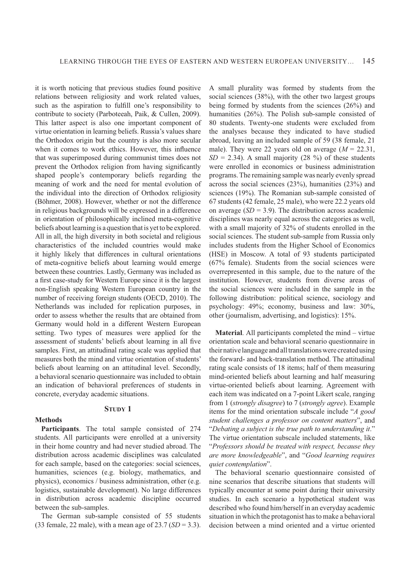it is worth noticing that previous studies found positive relations between religiosity and work related values, such as the aspiration to fulfill one's responsibility to contribute to society (Parboteeah, Paik, & Cullen, 2009). This latter aspect is also one important component of virtue orientation in learning beliefs. Russia's values share the Orthodox origin but the country is also more secular when it comes to work ethics. However, this influence that was superimposed during communist times does not prevent the Orthodox religion from having significantly shaped people's contemporary beliefs regarding the meaning of work and the need for mental evolution of the individual into the direction of Orthodox religiosity (Böhmer, 2008). However, whether or not the difference in religious backgrounds will be expressed in a difference in orientation of philosophically inclined meta-cognitive beliefs about learning is a question that is yet to be explored. All in all, the high diversity in both societal and religious characteristics of the included countries would make it highly likely that differences in cultural orientations of meta-cognitive beliefs about learning would emerge between these countries. Lastly, Germany was included as a first case-study for Western Europe since it is the largest non-English speaking Western European country in the number of receiving foreign students (OECD, 2010). The Netherlands was included for replication purposes, in order to assess whether the results that are obtained from Germany would hold in a different Western European setting. Two types of measures were applied for the assessment of students' beliefs about learning in all five samples. First, an attitudinal rating scale was applied that measures both the mind and virtue orientation of students' beliefs about learning on an attitudinal level. Secondly, a behavioral scenario questionnaire was included to obtain an indication of behavioral preferences of students in concrete, everyday academic situations.

# **STUDY 1**

# **Methods**

**Participants**. The total sample consisted of 274 students. All participants were enrolled at a university in their home country and had never studied abroad. The distribution across academic disciplines was calculated for each sample, based on the categories: social sciences, humanities, sciences (e.g. biology, mathematics, and physics), economics / business administration, other (e.g. logistics, sustainable development). No large differences in distribution across academic discipline occurred between the sub-samples.

The German sub-sample consisted of 55 students (33 female, 22 male), with a mean age of 23.7 (*SD* = 3.3).

A small plurality was formed by students from the social sciences (38%), with the other two largest groups being formed by students from the sciences (26%) and humanities (26%). The Polish sub-sample consisted of 80 students. Twenty-one students were excluded from the analyses because they indicated to have studied abroad, leaving an included sample of 59 (38 female, 21 male). They were 22 years old on average  $(M = 22.31)$ .  $SD = 2.34$ ). A small majority (28 %) of these students were enrolled in economics or business administration programs. The remaining sample was nearly evenly spread across the social sciences (23%), humanities (23%) and sciences (19%). The Romanian sub-sample consisted of 67 students (42 female, 25 male), who were 22.2 years old on average  $(SD = 3.9)$ . The distribution across academic disciplines was nearly equal across the categories as well, with a small majority of 32% of students enrolled in the social sciences. The student sub-sample from Russia only includes students from the Higher School of Economics (HSE) in Moscow. A total of 93 students participated (67% female). Students from the social sciences were overrepresented in this sample, due to the nature of the institution. However, students from diverse areas of the social sciences were included in the sample in the following distribution: political science, sociology and psychology: 49%; economy, business and law: 30%, other (journalism, advertising, and logistics): 15%.

**Material**. All participants completed the mind – virtue orientation scale and behavioral scenario questionnaire in their native language and all translations were created using the forward- and back-translation method. The attitudinal rating scale consists of 18 items; half of them measuring mind-oriented beliefs about learning and half measuring virtue-oriented beliefs about learning. Agreement with each item was indicated on a 7-point Likert scale, ranging from 1 (*strongly disagree*) to 7 (*strongly agree*). Example items for the mind orientation subscale include "*A good student challenges a professor on content matters*", and "*Debating a subject is the true path to understanding it*." The virtue orientation subscale included statements, like "*Professors should be treated with respect, because they are more knowledgeable*", and "*Good learning requires quiet contemplation*".

The behavioral scenario questionnaire consisted of nine scenarios that describe situations that students will typically encounter at some point during their university studies. In each scenario a hypothetical student was described who found him/herself in an everyday academic situation in which the protagonist has to make a behavioral decision between a mind oriented and a virtue oriented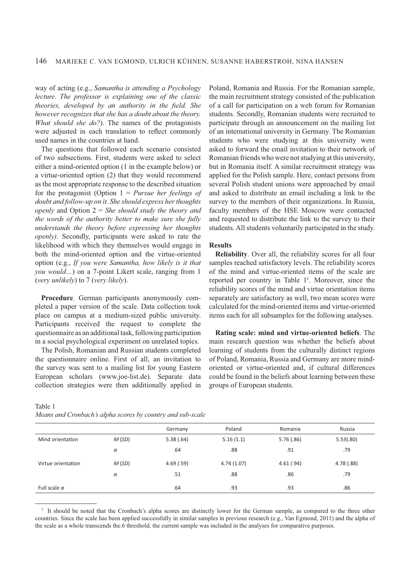way of acting (e.g., *Samantha is attending a Psychology lecture. The professor is explaining one of the classic theories, developed by an authority in the field. She however recognizes that she has a doubt about the theory. What should she do?*). The names of the protagonists were adjusted in each translation to reflect commonly used names in the countries at hand.

The questions that followed each scenario consisted of two subsections. First, students were asked to select either a mind-oriented option (1 in the example below) or a virtue-oriented option (2) that they would recommend as the most appropriate response to the described situation for the protagonist (Option 1 = *Pursue her feelings of doubt and follow-up on it. She should express her thoughts openly* and Option 2 = *She should study the theory and the words of the authority better to make sure she fully understands the theory before expressing her thoughts openly)*. Secondly, participants were asked to rate the likelihood with which they themselves would engage in both the mind-oriented option and the virtue-oriented option (e.g., *If you were Samantha, how likely is it that you would…*) on a 7-point Likert scale, ranging from 1 (*very unlikely*) to 7 (*very likely*).

**Procedure**. German participants anonymously completed a paper version of the scale. Data collection took place on campus at a medium-sized public university. Participants received the request to complete the questionnaire as an additional task, following participation in a social psychological experiment on unrelated topics.

The Polish, Romanian and Russian students completed the questionnaire online. First of all, an invitation to the survey was sent to a mailing list for young Eastern European scholars (www.joe-list.de). Separate data collection strategies were then additionally applied in

Table 1 *Means and Cronbach's alpha scores by country and sub-scale*

Poland, Romania and Russia. For the Romanian sample, the main recruitment strategy consisted of the publication of a call for participation on a web forum for Romanian students. Secondly, Romanian students were recruited to participate through an announcement on the mailing list of an international university in Germany. The Romanian students who were studying at this university were asked to forward the email invitation to their network of Romanian friends who were not studying at this university, but in Romania itself. A similar recruitment strategy was applied for the Polish sample. Here, contact persons from several Polish student unions were approached by email and asked to distribute an email including a link to the survey to the members of their organizations. In Russia, faculty members of the HSE Moscow were contacted and requested to distribute the link to the survey to their students. All students voluntarily participated in the study.

#### **Results**

**Reliability**. Over all, the reliability scores for all four samples reached satisfactory levels. The reliability scores of the mind and virtue-oriented items of the scale are reported per country in Table  $1^1$ . Moreover, since the reliability scores of the mind and virtue orientation items separately are satisfactory as well, two mean scores were calculated for the mind-oriented items and virtue-oriented items each for all subsamples for the following analyses.

**Rating scale: mind and virtue-oriented beliefs**. The main research question was whether the beliefs about learning of students from the culturally distinct regions of Poland, Romania, Russia and Germany are more mindoriented or virtue-oriented and, if cultural differences could be found in the beliefs about learning between these groups of European students.

|                     |          | Germany    | Poland     | Romania    | Russia    |
|---------------------|----------|------------|------------|------------|-----------|
| Mind orientation    | M(SD)    | 5.38(.64)  | 5.16(1.1)  | 5.76(.86)  | 5.53(.80) |
|                     | $\alpha$ | .64        | .88        | .91        | .79       |
| Virtue orientation  | M(SD)    | 4.69(0.59) | 4.74(1.07) | 4.61(0.94) | 4.78(.88) |
|                     | $\alpha$ | .51        | .88        | .86        | .79       |
| Full scale $\alpha$ |          | .64        | .93        | .93        | .86       |

<sup>1</sup> It should be noted that the Cronbach's alpha scores are distinctly lower for the German sample, as compared to the three other countries. Since the scale has been applied successfully in similar samples in previous research (e.g., Van Egmond, 2011) and the alpha of the scale as a whole transcends the.6 threshold, the current sample was included in the analyses for comparative purposes.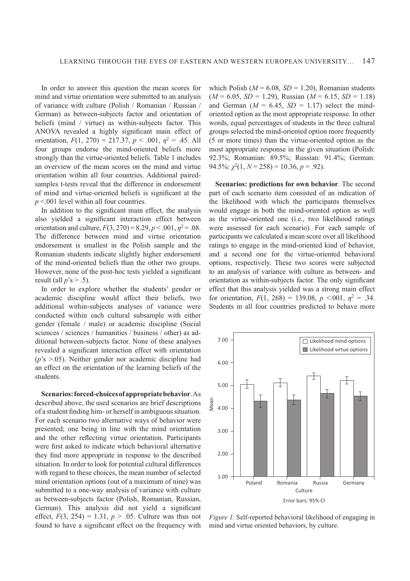In order to answer this question the mean scores for mind and virtue orientation were submitted to an analysis of variance with culture (Polish / Romanian / Russian / German) as between-subjects factor and orientation of beliefs (mind / virtue) as within-subjects factor. This ANOVA revealed a highly significant main effect of orientation,  $F(1, 270) = 217.37, p < .001, \eta^2 = .45$ . All four groups endorse the mind-oriented beliefs more strongly than the virtue-oriented beliefs. Table 1 includes an overview of the mean scores on the mind and virtue orientation within all four countries. Additional pairedsamples t-tests reveal that the difference in endorsement of mind and virtue-oriented beliefs is significant at the *p* <.001 level within all four countries.

In addition to the significant main effect, the analysis also yielded a significant interaction effect between orientation and culture,  $F(3, 270) = 8.29, p < .001, \eta^2 = .08$ . The difference between mind and virtue orientation endorsement is smallest in the Polish sample and the Romanian students indicate slightly higher endorsement of the mind-oriented beliefs than the other two groups. However, none of the post-hoc tests yielded a significant result (all  $p$ 's  $> .5$ ).

In order to explore whether the students' gender or academic discipline would affect their beliefs, two additional within-subjects analyses of variance were conducted within each cultural subsample with either gender (female / male) or academic discipline (Social sciences / sciences / humanities / business / other) as additional between-subjects factor. None of these analyses revealed a significant interaction effect with orientation (*p*'s >.05). Neither gender nor academic discipline had an effect on the orientation of the learning beliefs of the students.

**Scenarios: forced-choices of appropriate behavior**.As described above, the used scenarios are brief descriptions of a student finding him- or herself in ambiguous situation. For each scenario two alternative ways of behavior were presented; one being in line with the mind orientation and the other reflecting virtue orientation. Participants were first asked to indicate which behavioral alternative they find more appropriate in response to the described situation. In order to look for potential cultural differences with regard to these choices, the mean number of selected mind orientation options (out of a maximum of nine) was submitted to a one-way analysis of variance with culture as between-subjects factor (Polish, Romanian, Russian, German). This analysis did not yield a significant effect,  $F(3, 254) = 1.31$ ,  $p > .05$ . Culture was thus not found to have a significant effect on the frequency with

which Polish ( $M = 6.08$ ,  $SD = 1.20$ ), Romanian students  $(M = 6.05, SD = 1.29)$ , Russian  $(M = 6.15, SD = 1.18)$ and German  $(M = 6.45, SD = 1.17)$  select the mindoriented option as the most appropriate response. In other words, equal percentages of students in the three cultural groups selected the mind-oriented option more frequently (5 or more times) than the virtue-oriented option as the most appropriate response in the given situation (Polish: 92.3%; Romanian: 89.5%; Russian: 91.4%; German:  $94.5\%$ :  $\chi^2(1, N = 258) = 10.36, p = .92$ ).

**Scenarios: predictions for own behavior**. The second part of each scenario item consisted of an indication of the likelihood with which the participants themselves would engage in both the mind-oriented option as well as the virtue-oriented one (i.e., two likelihood ratings were assessed for each scenario). For each sample of participants we calculated a mean score over all likelihood ratings to engage in the mind-oriented kind of behavior, and a second one for the virtue-oriented behavioral options, respectively. These two scores were subjected to an analysis of variance with culture as between- and orientation as within-subjects factor. The only significant effect that this analysis yielded was a strong main effect for orientation,  $F(1, 268) = 139.08$ ,  $p \le 0.001$ ,  $\eta^2 = .34$ . Students in all four countries predicted to behave more



*Figure 1.* Self-reported behavioral likelihood of engaging in mind and virtue oriented behaviors, by culture.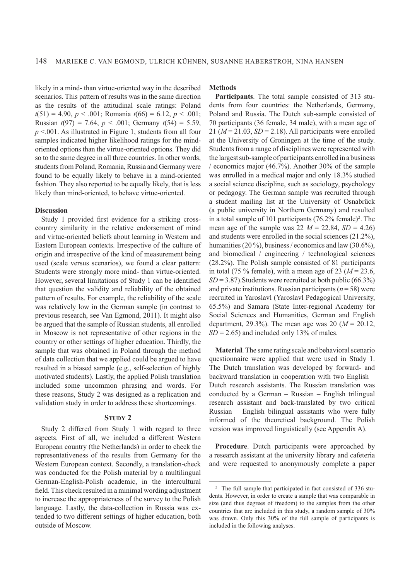likely in a mind- than virtue-oriented way in the described scenarios. This pattern of results was in the same direction as the results of the attitudinal scale ratings: Poland *t*(51) = 4.90, *p* < .001; Romania *t*(66) = 6.12, *p* < .001; Russian *t*(97) = 7.64, *p* < .001; Germany *t*(54) = 5.59, *p* <.001. As illustrated in Figure 1, students from all four samples indicated higher likelihood ratings for the mindoriented options than the virtue-oriented options. They did so to the same degree in all three countries. In other words, students from Poland, Romania, Russia and Germany were found to be equally likely to behave in a mind-oriented fashion. They also reported to be equally likely, that is less likely than mind-oriented, to behave virtue-oriented.

# **Discussion**

Study 1 provided first evidence for a striking crosscountry similarity in the relative endorsement of mind and virtue-oriented beliefs about learning in Western and Eastern European contexts. Irrespective of the culture of origin and irrespective of the kind of measurement being used (scale versus scenarios), we found a clear pattern: Students were strongly more mind- than virtue-oriented. However, several limitations of Study 1 can be identified that question the validity and reliability of the obtained pattern of results. For example, the reliability of the scale was relatively low in the German sample (in contrast to previous research, see Van Egmond, 2011). It might also be argued that the sample of Russian students, all enrolled in Moscow is not representative of other regions in the country or other settings of higher education. Thirdly, the sample that was obtained in Poland through the method of data collection that we applied could be argued to have resulted in a biased sample (e.g., self-selection of highly motivated students). Lastly, the applied Polish translation included some uncommon phrasing and words. For these reasons, Study 2 was designed as a replication and validation study in order to address these shortcomings.

### **STUDY 2**

Study 2 differed from Study 1 with regard to three aspects. First of all, we included a different Western European country (the Netherlands) in order to check the representativeness of the results from Germany for the Western European context. Secondly, a translation-check was conducted for the Polish material by a multilingual German-English-Polish academic, in the intercultural field. This check resulted in a minimal wording adjustment to increase the appropriateness of the survey to the Polish language. Lastly, the data-collection in Russia was extended to two different settings of higher education, both outside of Moscow.

# **Methods**

**Participants**. The total sample consisted of 313 students from four countries: the Netherlands, Germany, Poland and Russia. The Dutch sub-sample consisted of 70 participants (36 female, 34 male), with a mean age of 21 ( $M = 21.03$ ,  $SD = 2.18$ ). All participants were enrolled at the University of Groningen at the time of the study. Students from a range of disciplines were represented with the largest sub-sample of participants enrolled in a business economics major (46.7%). Another 30% of the sample was enrolled in a medical major and only 18.3% studied a social science discipline, such as sociology, psychology or pedagogy. The German sample was recruited through a student mailing list at the University of Osnabrück (a public university in Northern Germany) and resulted in a total sample of 101 participants (76.2% female) 2 . The mean age of the sample was 22  $M = 22.84$ ,  $SD = 4.26$ and students were enrolled in the social sciences (21.2%), humanities (20 %), business / economics and law (30.6%), and biomedical / engineering / technological sciences (28.2%). The Polish sample consisted of 81 participants in total (75  $\%$  female), with a mean age of 23 ( $M = 23.6$ ,  $SD = 3.87$ ). Students were recruited at both public (66.3%) and private institutions. Russian participants ( $n = 58$ ) were recruited in Yaroslavl (Yaroslavl Pedagogical University, 65.5%) and Samara (State Inter-regional Academy for Social Sciences and Humanities, German and English department, 29.3%). The mean age was 20 ( $M = 20.12$ ,  $SD = 2.65$ ) and included only 13% of males.

**Material**. The same rating scale and behavioral scenario questionnaire were applied that were used in Study 1. The Dutch translation was developed by forward- and backward translation in cooperation with two English – Dutch research assistants. The Russian translation was conducted by a German – Russian – English trilingual research assistant and back-translated by two critical Russian – English bilingual assistants who were fully informed of the theoretical background. The Polish version was improved linguistically (see Appendix A).

**Procedure**. Dutch participants were approached by a research assistant at the university library and cafeteria and were requested to anonymously complete a paper

<sup>&</sup>lt;sup>2</sup> The full sample that participated in fact consisted of 336 students. However, in order to create a sample that was comparable in size (and thus degrees of freedom) to the samples from the other countries that are included in this study, a random sample of 30% was drawn. Only this 30% of the full sample of participants is included in the following analyses.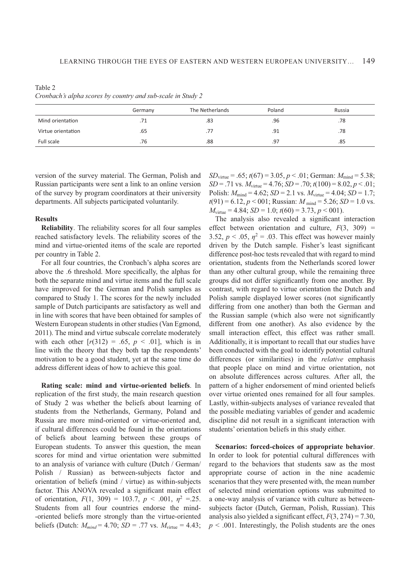Table 2 *Cronbach's alpha scores by country and sub-scale in Study 2*

|                    | Germany | The Netherlands | Poland | Russia |
|--------------------|---------|-----------------|--------|--------|
| Mind orientation   | .71     | .83             | .96    | .78    |
| Virtue orientation | .65     | .77             | .91    | .78    |
| Full scale         | .76     | .88             | .97    | .85    |

version of the survey material. The German, Polish and Russian participants were sent a link to an online version of the survey by program coordinators at their university departments. All subjects participated voluntarily.

#### **Results**

**Reliability**. The reliability scores for all four samples reached satisfactory levels. The reliability scores of the mind and virtue-oriented items of the scale are reported per country in Table 2.

For all four countries, the Cronbach's alpha scores are above the .6 threshold. More specifically, the alphas for both the separate mind and virtue items and the full scale have improved for the German and Polish samples as compared to Study 1. The scores for the newly included sample of Dutch participants are satisfactory as well and in line with scores that have been obtained for samples of Western European students in other studies (Van Egmond, 2011). The mind and virtue subscale correlate moderately with each other  $[r(312) = .65, p < .01]$ , which is in line with the theory that they both tap the respondents' motivation to be a good student, yet at the same time do address different ideas of how to achieve this goal.

**Rating scale: mind and virtue-oriented beliefs**. In replication of the first study, the main research question of Study 2 was whether the beliefs about learning of students from the Netherlands, Germany, Poland and Russia are more mind-oriented or virtue-oriented and, if cultural differences could be found in the orientations of beliefs about learning between these groups of European students. To answer this question, the mean scores for mind and virtue orientation were submitted to an analysis of variance with culture (Dutch / German/ Polish / Russian) as between-subjects factor and orientation of beliefs (mind / virtue) as within-subjects factor. This ANOVA revealed a significant main effect of orientation,  $F(1, 309) = 103.7, p < .001, \eta^2 = .25.$ Students from all four countries endorse the mind--oriented beliefs more strongly than the virtue-oriented beliefs (Dutch:  $M_{mind} = 4.70$ ;  $SD = .77$  vs.  $M_{virtue} = 4.43$ ;

 $SD_{\text{virtue}} = .65$ ;  $t(67) = 3.05$ ,  $p < .01$ ; German:  $M_{\text{mind}} = 5.38$ ;  $SD = .71$  vs.  $M_{\text{virtue}} = 4.76$ ;  $SD = .70$ ;  $t(100) = 8.02$ ,  $p < .01$ ; Polish:  $M_{\text{mind}} = 4.62$ ; *SD* = 2.1 vs.  $M_{\text{virtue}} = 4.04$ ; *SD* = 1.7;  $t(91) = 6.12, p < 001$ ; Russian:  $M_{\text{mind}} = 5.26$ ; *SD* = 1.0 vs.  $M_{\text{virtue}} = 4.84$ ; *SD* = 1.0;  $t(60) = 3.73$ ,  $p < 001$ ).

The analysis also revealed a significant interaction effect between orientation and culture,  $F(3, 309)$  = 3.52,  $p < .05$ ,  $\eta^2 = .03$ . This effect was however mainly driven by the Dutch sample. Fisher's least significant difference post-hoc tests revealed that with regard to mind orientation, students from the Netherlands scored lower than any other cultural group, while the remaining three groups did not differ significantly from one another. By contrast, with regard to virtue orientation the Dutch and Polish sample displayed lower scores (not significantly differing from one another) than both the German and the Russian sample (which also were not significantly different from one another). As also evidence by the small interaction effect, this effect was rather small. Additionally, it is important to recall that our studies have been conducted with the goal to identify potential cultural differences (or similarities) in the *relative* emphasis that people place on mind and virtue orientation, not on absolute differences across cultures. After all, the pattern of a higher endorsement of mind oriented beliefs over virtue oriented ones remained for all four samples. Lastly, within-subjects analyses of variance revealed that the possible mediating variables of gender and academic discipline did not result in a significant interaction with students' orientation beliefs in this study either.

**Scenarios: forced-choices of appropriate behavior**. In order to look for potential cultural differences with regard to the behaviors that students saw as the most appropriate course of action in the nine academic scenarios that they were presented with, the mean number of selected mind orientation options was submitted to a one-way analysis of variance with culture as betweensubjects factor (Dutch, German, Polish, Russian). This analysis also yielded a significant effect,  $F(3, 274) = 7.30$ ,  $p \leq 0.001$ . Interestingly, the Polish students are the ones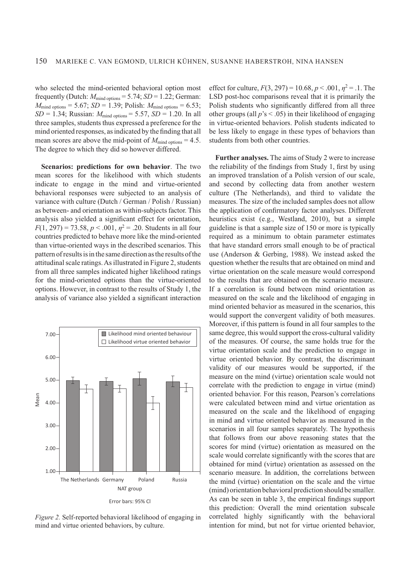who selected the mind-oriented behavioral option most frequently (Dutch:  $M_{\text{mind options}} = 5.74$ ;  $SD = 1.22$ ; German:  $M_{\text{mind options}} = 5.67$ ; *SD* = 1.39; Polish:  $M_{\text{mind options}} = 6.53$ ;  $SD = 1.34$ ; Russian:  $M_{\text{mind options}} = 5.57$ ,  $SD = 1.20$ . In all three samples, students thus expressed a preference for the mind oriented responses, as indicated by the finding that all mean scores are above the mid-point of  $M_{\text{mind} \text{ options}} = 4.5$ . The degree to which they did so however differed.

**Scenarios: predictions for own behavior**. The two mean scores for the likelihood with which students indicate to engage in the mind and virtue-oriented behavioral responses were subjected to an analysis of variance with culture (Dutch / German / Polish / Russian) as between- and orientation as within-subjects factor. This analysis also yielded a significant effect for orientation,  $F(1, 297) = 73.58, p < .001, \eta^2 = .20$ . Students in all four countries predicted to behave more like the mind-oriented than virtue-oriented ways in the described scenarios. This pattern of results is in the same direction as the results of the attitudinal scale ratings. As illustrated in Figure 2, students from all three samples indicated higher likelihood ratings for the mind-oriented options than the virtue-oriented options. However, in contrast to the results of Study 1, the analysis of variance also yielded a significant interaction



*Figure 2.* Self-reported behavioral likelihood of engaging in mind and virtue oriented behaviors, by culture.

effect for culture,  $F(3, 297) = 10.68, p < .001, \eta^2 = .1$ . The LSD post-hoc comparisons reveal that it is primarily the Polish students who significantly differed from all three other groups (all  $p$ 's  $\leq$  .05) in their likelihood of engaging in virtue-oriented behaviors. Polish students indicated to be less likely to engage in these types of behaviors than students from both other countries.

**Further analyses.** The aims of Study 2 were to increase the reliability of the findings from Study 1, first by using an improved translation of a Polish version of our scale, and second by collecting data from another western culture (The Netherlands), and third to validate the measures. The size of the included samples does not allow the application of confirmatory factor analyses. Different heuristics exist (e.g., Westland, 2010), but a simple guideline is that a sample size of 150 or more is typically required as a minimum to obtain parameter estimates that have standard errors small enough to be of practical use (Anderson & Gerbing, 1988). We instead asked the question whether the results that are obtained on mind and virtue orientation on the scale measure would correspond to the results that are obtained on the scenario measure. If a correlation is found between mind orientation as measured on the scale and the likelihood of engaging in mind oriented behavior as measured in the scenarios, this would support the convergent validity of both measures. Moreover, if this pattern is found in all four samples to the same degree, this would support the cross-cultural validity of the measures. Of course, the same holds true for the virtue orientation scale and the prediction to engage in virtue oriented behavior. By contrast, the discriminant validity of our measures would be supported, if the measure on the mind (virtue) orientation scale would not correlate with the prediction to engage in virtue (mind) oriented behavior. For this reason, Pearson's correlations were calculated between mind and virtue orientation as measured on the scale and the likelihood of engaging in mind and virtue oriented behavior as measured in the scenarios in all four samples separately. The hypothesis that follows from our above reasoning states that the scores for mind (virtue) orientation as measured on the scale would correlate significantly with the scores that are obtained for mind (virtue) orientation as assessed on the scenario measure. In addition, the correlations between the mind (virtue) orientation on the scale and the virtue (mind) orientation behavioral prediction should be smaller. As can be seen in table 3, the empirical findings support this prediction: Overall the mind orientation subscale correlated highly significantly with the behavioral intention for mind, but not for virtue oriented behavior,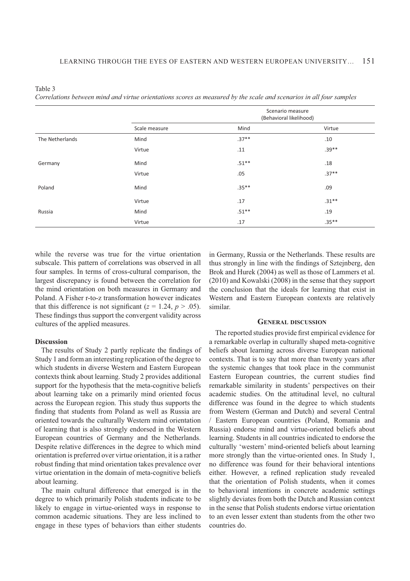| Table 3                                                                                                             |  |
|---------------------------------------------------------------------------------------------------------------------|--|
| Correlations between mind and virtue orientations scores as measured by the scale and scenarios in all four samples |  |

|                 |               | Scenario measure<br>(Behavioral likelihood) |         |
|-----------------|---------------|---------------------------------------------|---------|
|                 | Scale measure | Mind                                        | Virtue  |
| The Netherlands | Mind          | $.37**$                                     | .10     |
|                 | Virtue        | .11                                         | $.39**$ |
| Germany         | Mind          | $.51**$                                     | .18     |
|                 | Virtue        | .05                                         | $.37**$ |
| Poland          | Mind          | $.35***$                                    | .09     |
|                 | Virtue        | .17                                         | $.31**$ |
| Russia          | Mind          | $.51***$                                    | .19     |
|                 | Virtue        | .17                                         | $.35**$ |

while the reverse was true for the virtue orientation subscale. This pattern of correlations was observed in all four samples. In terms of cross-cultural comparison, the largest discrepancy is found between the correlation for the mind orientation on both measures in Germany and Poland. A Fisher r-to-z transformation however indicates that this difference is not significant ( $z = 1.24$ ,  $p > .05$ ). These findings thus support the convergent validity across cultures of the applied measures.

#### **Discussion**

The results of Study 2 partly replicate the findings of Study 1 and form an interesting replication of the degree to which students in diverse Western and Eastern European contexts think about learning. Study 2 provides additional support for the hypothesis that the meta-cognitive beliefs about learning take on a primarily mind oriented focus across the European region. This study thus supports the finding that students from Poland as well as Russia are oriented towards the culturally Western mind orientation of learning that is also strongly endorsed in the Western European countries of Germany and the Netherlands. Despite relative differences in the degree to which mind orientation is preferred over virtue orientation, it is a rather robust finding that mind orientation takes prevalence over virtue orientation in the domain of meta-cognitive beliefs about learning.

The main cultural difference that emerged is in the degree to which primarily Polish students indicate to be likely to engage in virtue-oriented ways in response to common academic situations. They are less inclined to engage in these types of behaviors than either students in Germany, Russia or the Netherlands. These results are thus strongly in line with the findings of Szteinberg, den Brok and Hurek (2004) as well as those of Lammers et al. (2010) and Kowalski (2008) in the sense that they support the conclusion that the ideals for learning that exist in Western and Eastern European contexts are relatively similar.

### **GENERAL DISCUSSION**

The reported studies provide first empirical evidence for a remarkable overlap in culturally shaped meta-cognitive beliefs about learning across diverse European national contexts. That is to say that more than twenty years after the systemic changes that took place in the communist Eastern European countries, the current studies find remarkable similarity in students' perspectives on their academic studies. On the attitudinal level, no cultural difference was found in the degree to which students from Western (German and Dutch) and several Central / Eastern European countries (Poland, Romania and Russia) endorse mind and virtue-oriented beliefs about learning. Students in all countries indicated to endorse the culturally 'western' mind-oriented beliefs about learning more strongly than the virtue-oriented ones. In Study 1, no difference was found for their behavioral intentions either. However, a refined replication study revealed that the orientation of Polish students, when it comes to behavioral intentions in concrete academic settings slightly deviates from both the Dutch and Russian context in the sense that Polish students endorse virtue orientation to an even lesser extent than students from the other two countries do.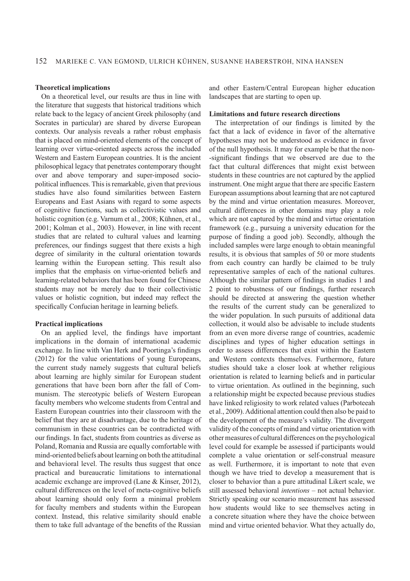# **Theoretical implications**

On a theoretical level, our results are thus in line with the literature that suggests that historical traditions which relate back to the legacy of ancient Greek philosophy (and Socrates in particular) are shared by diverse European contexts. Our analysis reveals a rather robust emphasis that is placed on mind-oriented elements of the concept of learning over virtue-oriented aspects across the included Western and Eastern European countries. It is the ancient philosophical legacy that penetrates contemporary thought over and above temporary and super-imposed sociopolitical influences. This is remarkable, given that previous studies have also found similarities between Eastern Europeans and East Asians with regard to some aspects of cognitive functions, such as collectivistic values and holistic cognition (e.g. Varnum et al., 2008; Kühnen, et al., 2001; Kolman et al., 2003). However, in line with recent studies that are related to cultural values and learning preferences, our findings suggest that there exists a high degree of similarity in the cultural orientation towards learning within the European setting. This result also implies that the emphasis on virtue-oriented beliefs and learning-related behaviors that has been found for Chinese students may not be merely due to their collectivistic values or holistic cognition, but indeed may reflect the specifically Confucian heritage in learning beliefs.

#### **Practical implications**

On an applied level, the findings have important implications in the domain of international academic exchange. In line with Van Herk and Poortinga's findings (2012) for the value orientations of young Europeans, the current study namely suggests that cultural beliefs about learning are highly similar for European student generations that have been born after the fall of Communism. The stereotypic beliefs of Western European faculty members who welcome students from Central and Eastern European countries into their classroom with the belief that they are at disadvantage, due to the heritage of communism in these countries can be contradicted with our findings. In fact, students from countries as diverse as Poland, Romania and Russia are equally comfortable with mind-oriented beliefs about learning on both the attitudinal and behavioral level. The results thus suggest that once practical and bureaucratic limitations to international academic exchange are improved (Lane & Kinser, 2012), cultural differences on the level of meta-cognitive beliefs about learning should only form a minimal problem for faculty members and students within the European context. Instead, this relative similarity should enable them to take full advantage of the benefits of the Russian

and other Eastern/Central European higher education landscapes that are starting to open up.

#### **Limitations and future research directions**

The interpretation of our findings is limited by the fact that a lack of evidence in favor of the alternative hypotheses may not be understood as evidence in favor of the null hypothesis. It may for example be that the non- -significant findings that we observed are due to the fact that cultural differences that might exist between students in these countries are not captured by the applied instrument. One might argue that there are specific Eastern European assumptions about learning that are not captured by the mind and virtue orientation measures. Moreover, cultural differences in other domains may play a role which are not captured by the mind and virtue orientation framework (e.g., pursuing a university education for the purpose of finding a good job). Secondly, although the included samples were large enough to obtain meaningful results, it is obvious that samples of 50 or more students from each country can hardly be claimed to be truly representative samples of each of the national cultures. Although the similar pattern of findings in studies 1 and 2 point to robustness of our findings, further research should be directed at answering the question whether the results of the current study can be generalized to the wider population. In such pursuits of additional data collection, it would also be advisable to include students from an even more diverse range of countries, academic disciplines and types of higher education settings in order to assess differences that exist within the Eastern and Western contexts themselves. Furthermore, future studies should take a closer look at whether religious orientation is related to learning beliefs and in particular to virtue orientation. As outlined in the beginning, such a relationship might be expected because previous studies have linked religiosity to work related values (Parboteeah et al., 2009). Additional attention could then also be paid to the development of the measure's validity. The divergent validity of the concepts of mind and virtue orientation with other measures of cultural differences on the psychological level could for example be assessed if participants would complete a value orientation or self-construal measure as well. Furthermore, it is important to note that even though we have tried to develop a measurement that is closer to behavior than a pure attitudinal Likert scale, we still assessed behavioral *intentions* – not actual behavior. Strictly speaking our scenario measurement has assessed how students would like to see themselves acting in a concrete situation where they have the choice between mind and virtue oriented behavior. What they actually do,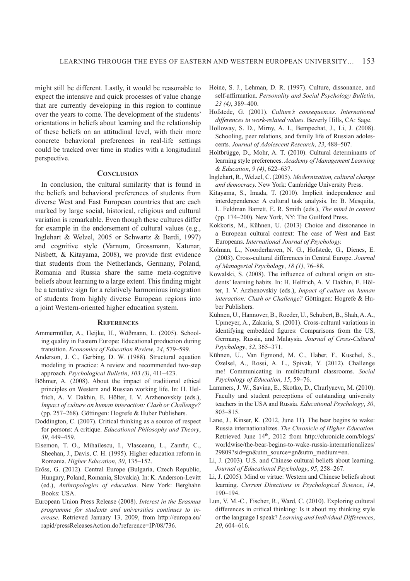might still be different. Lastly, it would be reasonable to expect the intensive and quick processes of value change that are currently developing in this region to continue over the years to come. The development of the students' orientations in beliefs about learning and the relationship of these beliefs on an attitudinal level, with their more concrete behavioral preferences in real-life settings could be tracked over time in studies with a longitudinal perspective.

# **CONCLUSION**

In conclusion, the cultural similarity that is found in the beliefs and behavioral preferences of students from diverse West and East European countries that are each marked by large social, historical, religious and cultural variation is remarkable. Even though these cultures differ for example in the endorsement of cultural values (e.g., Inglehart & Welzel, 2005 or Schwartz & Bardi, 1997) and cognitive style (Varnum, Grossmann, Katunar, Nisbett, & Kitayama, 2008), we provide first evidence that students from the Netherlands, Germany, Poland, Romania and Russia share the same meta-cognitive beliefs about learning to a large extent. This finding might be a tentative sign for a relatively harmonious integration of students from highly diverse European regions into a joint Western-oriented higher education system.

#### **REFERENCES**

- Ammermüller, A., Heijke, H., Wößmann, L. (2005). Schooling quality in Eastern Europe: Educational production during transition. *Economics of Education Review*, *24*, 579–599.
- Anderson, J. C., Gerbing, D. W. (1988). Structural equation modeling in practice: A review and recommended two-step approach. *Psychological Bulletin*, *103 (3)*, 411–423.
- Böhmer, A. (2008). About the impact of traditional ethical principles on Western and Russian working life. In: H. Helfrich, A. V. Dakhin, E. Hölter, I. V. Arzhenovskiy (eds.), *Impact of culture on human interaction: Clash or Challenge?* (pp. 257–268). Göttingen: Hogrefe & Huber Publishers.
- Doddington, C. (2007). Critical thinking as a source of respect for persons: A critique. *Educational Philosophy and Theory*, *39*, 449–459.
- Eisemon, T. O., Mihailescu, I., Vlasceanu, L., Zamfir, C., Sheehan, J., Davis, C. H. (1995). Higher education reform in Romania. *Higher Education*, *30*, 135–152.
- Eröss, G. (2012). Central Europe (Bulgaria, Czech Republic, Hungary, Poland, Romania, Slovakia). In: K. Anderson-Levitt (ed.), *Anthropologies of education*. New York: Berghahn Books: USA.
- European Union Press Release (2008). *Interest in the Erasmus programme for students and universities continues to in crease.* Retrieved January 13, 2009, from http://europa.eu/ rapid/pressReleasesAction.do?reference=IP/08/736.
- Heine, S. J., Lehman, D. R. (1997). Culture, dissonance, and self-affirmation. *Personality and Social Psychology Bulletin*, *23 (4)*, 389–400.
- Hofstede, G. (2001). *Culture's consequences. International differences in work-related values.* Beverly Hills, CA: Sage.
- Holloway, S. D., Mirny, A. I., Bempechat, J., Li, J. (2008). Schooling, peer relations, and family life of Russian adolescents. *Journal of Adolescent Research*, *23*, 488–507.
- Holtbrügge, D., Mohr, A. T. (2010). Cultural determinants of learning style preferences. *Academy of Management Learning & Education*, *9 (4)*, 622–637.
- Inglehart, R., Welzel, C. (2005). *Modernization, cultural change and democracy.* New York: Cambridge University Press.
- Kitayama, S., Imada, T. (2010). Implicit independence and interdependence: A cultural task analysis. In: B. Mesquita, L. Feldman Barrett, E. R. Smith (eds.), *The mind in context* (pp. 174–200)*.* New York, NY: The Guilford Press.
- Kokkoris, M., Kühnen, U. (2013) Choice and dissonance in a European cultural context: The case of West and East Europeans. *International Journal of Psychology.*
- Kolman, L., Noorderhaven, N. G., Hofstede, G., Dienes, E. (2003). Cross-cultural differences in Central Europe. *Journal of Managerial Psychology*, *18 (1)*, 76–88.
- Kowalski, S. (2008). The influence of cultural origin on students' learning habits. In: H. Helfrich, A. V. Dakhin, E. Hölter, I. V. Arzhenovskiy (eds.), *Impact of culture on human*  interaction: Clash or Challenge? Göttingen: Hogrefe & Huber Publishers.
- Kühnen, U., Hannover, B., Roeder, U., Schubert, B., Shah, A. A., Upmeyer, A., Zakaria, S. (2001). Cross-cultural variations in identifying embedded figures: Comparisons from the US, Germany, Russia, and Malaysia. *Journal of Cross-Cultural Psychology*, *32*, 365–371.
- Kühnen, U., Van Egmond, M. C., Haber, F., Kuschel, S., Özelsel, A., Rossi, A. L., Spivak, Y. (2012). Challenge me! Communicating in multicultural classrooms. *Social Psychology of Education*, *15*, 59–76.
- Lammers, J. W., Savina, E., Skotko, D., Churlyaeva, M. (2010). Faculty and student perceptions of outstanding university teachers in the USA and Russia. *Educational Psychology*, *30*, 803–815.
- Lane, J., Kinser, K. (2012, June 11). The bear begins to wake: Russia internationalizes. *The Chronicle of Higher Education.* Retrieved June 14<sup>th</sup>, 2012 from http://chronicle.com/blogs/ worldwise/the-bear-begins-to-wake-russia-internationalizes/ 29809?sid=gn&utm\_source=gn&utm\_medium=en.
- Li, J. (2003). U.S. and Chinese cultural beliefs about learning. *Journal of Educational Psychology*, *95*, 258–267.
- Li, J. (2005). Mind or virtue: Western and Chinese beliefs about learning. *Current Directions in Psychological Science*, *14*, 190–194.
- Lun, V. M.-C., Fischer, R., Ward, C. (2010). Exploring cultural differences in critical thinking: Is it about my thinking style or the language I speak? *Learning and Individual Differences*, *20*, 604–616.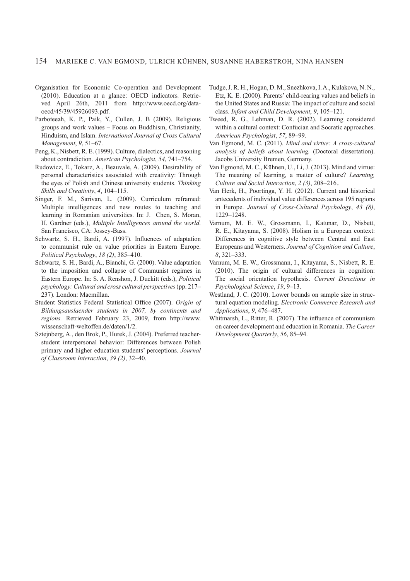- Organisation for Economic Co-operation and Development (2010). Education at a glance: OECD indicators. Retrieved April 26th, 2011 from http://www.oecd.org/dataoecd/45/39/45926093.pdf.
- Parboteeah, K. P., Paik, Y., Cullen, J. B (2009). Religious groups and work values – Focus on Buddhism, Christianity, Hinduism, and Islam. *International Journal of Cross Cultural Management*, *9*, 51–67.
- Peng, K., Nisbett, R. E. (1999). Culture, dialectics, and reasoning about contradiction. *American Psychologist*, *54*, 741–754.
- Rudowicz, E., Tokarz, A., Beauvale, A. (2009). Desirability of personal characteristics associated with creativity: Through the eyes of Polish and Chinese university students. *Thinking Skills and Creativity*, *4*, 104–115.
- Singer, F. M., Sarivan, L. (2009). Curriculum reframed: Multiple intelligences and new routes to teaching and learning in Romanian universities. In: J. Chen, S. Moran, H. Gardner (eds.), *Multiple Intelligences around the world*. San Francisco, CA: Jossey-Bass.
- Schwartz, S. H., Bardi, A. (1997). Influences of adaptation to communist rule on value priorities in Eastern Europe. *Political Psychology*, *18 (2)*, 385–410.
- Schwartz, S. H., Bardi, A., Bianchi, G. (2000). Value adaptation to the imposition and collapse of Communist regimes in Eastern Europe. In: S. A. Renshon, J. Duckitt (eds.), *Political psychology: Cultural and cross cultural perspectives* (pp. 217– 237). London: Macmillan.
- Student Statistics Federal Statistical Office (2007). *Origin of Bildungsauslaender students in 2007, by continents and regions.* Retrieved February 23, 2009, from http://www. wissenschaft-weltoffen.de/daten/1/2.
- Sztejnberg, A., den Brok, P., Hurek, J. (2004). Preferred teacherstudent interpersonal behavior: Differences between Polish primary and higher education students' perceptions. *Journal of Classroom Interaction*, *39 (2)*, 32–40.
- Tudge, J. R. H., Hogan, D. M., Snezhkova, I. A., Kulakova, N. N., Etz, K. E. (2000). Parents' child-rearing values and beliefs in the United States and Russia: The impact of culture and social class. *Infant and Child Development*, *9*, 105–121.
- Tweed, R. G., Lehman, D. R. (2002). Learning considered within a cultural context: Confucian and Socratic approaches. *Ame rican Psychologist*, *57*, 89–99.
- Van Egmond, M. C. (2011). *Mind and virtue: A cross-cultural analysis of beliefs about learning.* (Doctoral dissertation). Jacobs University Bremen, Germany.
- Van Egmond, M. C., Kühnen, U., Li, J. (2013). Mind and virtue: The meaning of learning, a matter of culture? *Learning, Culture and Social Interaction*, *2 (3)*, 208–216..
- Van Herk, H., Poortinga, Y. H. (2012). Current and historical antecedents of individual value differences across 195 regions in Europe. *Journal of Cross-Cultural Psychology*, *43 (8)*, 1229–1248.
- Varnum, M. E. W., Grossmann, I., Katunar, D., Nisbett, R. E., Kitayama, S. (2008). Holism in a European context: Differences in cognitive style between Central and East Europeans and Westerners. *Journal of Cognition and Culture*, *8*, 321–333.
- Varnum, M. E. W., Grossmann, I., Kitayama, S., Nisbett, R. E. (2010). The origin of cultural differences in cognition: The social orientation hypothesis. *Current Directions in Psychological Science*, *19*, 9–13.
- Westland, J. C. (2010). Lower bounds on sample size in structural equation modeling. *Electronic Commerce Research and Applications*, *9*, 476–487.
- Whitmarsh, L., Ritter, R. (2007). The influence of communism on career development and education in Romania. *The Career Development Quarterly*, *56*, 85–94.